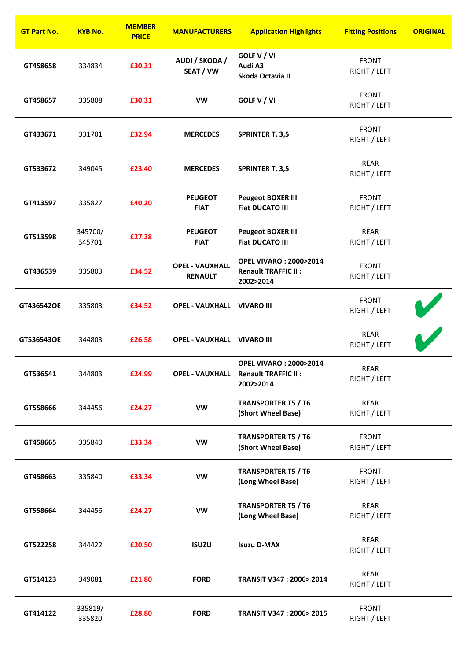| <b>GT Part No.</b> | <b>KYB No.</b>    | <b>MEMBER</b><br><b>PRICE</b> | <b>MANUFACTURERS</b>                     | <b>Application Highlights</b>                                                               | <b>Fitting Positions</b>     | <b>ORIGINAL</b> |
|--------------------|-------------------|-------------------------------|------------------------------------------|---------------------------------------------------------------------------------------------|------------------------------|-----------------|
| GT458658           | 334834            | £30.31                        | AUDI / SKODA /<br>SEAT / VW              | GOLF V / VI<br>Audi A3<br>Skoda Octavia II                                                  | <b>FRONT</b><br>RIGHT / LEFT |                 |
| GT458657           | 335808            | £30.31                        | <b>VW</b>                                | GOLF V / VI                                                                                 | <b>FRONT</b><br>RIGHT / LEFT |                 |
| GT433671           | 331701            | £32.94                        | <b>MERCEDES</b>                          | <b>SPRINTER T, 3,5</b>                                                                      | <b>FRONT</b><br>RIGHT / LEFT |                 |
| GT533672           | 349045            | £23.40                        | <b>MERCEDES</b>                          | <b>SPRINTER T, 3,5</b>                                                                      | <b>REAR</b><br>RIGHT / LEFT  |                 |
| GT413597           | 335827            | £40.20                        | <b>PEUGEOT</b><br><b>FIAT</b>            | <b>Peugeot BOXER III</b><br><b>Fiat DUCATO III</b>                                          | <b>FRONT</b><br>RIGHT / LEFT |                 |
| GT513598           | 345700/<br>345701 | £27.38                        | <b>PEUGEOT</b><br><b>FIAT</b>            | <b>Peugeot BOXER III</b><br><b>Fiat DUCATO III</b>                                          | <b>REAR</b><br>RIGHT / LEFT  |                 |
| GT436539           | 335803            | £34.52                        | <b>OPEL - VAUXHALL</b><br><b>RENAULT</b> | <b>OPEL VIVARO: 2000&gt;2014</b><br><b>Renault TRAFFIC II:</b><br>2002>2014                 | <b>FRONT</b><br>RIGHT / LEFT |                 |
| GT436542OE         | 335803            | £34.52                        | <b>OPEL - VAUXHALL VIVARO III</b>        |                                                                                             | <b>FRONT</b><br>RIGHT / LEFT |                 |
| GT536543OE         | 344803            | £26.58                        | <b>OPEL - VAUXHALL VIVARO III</b>        |                                                                                             | <b>REAR</b><br>RIGHT / LEFT  |                 |
| GT536541           | 344803            | £24.99                        |                                          | <b>OPEL VIVARO: 2000&gt;2014</b><br><b>OPEL - VAUXHALL Renault TRAFFIC II:</b><br>2002>2014 | <b>REAR</b><br>RIGHT / LEFT  |                 |
| GT558666           | 344456            | £24.27                        | <b>VW</b>                                | <b>TRANSPORTER T5 / T6</b><br>(Short Wheel Base)                                            | REAR<br>RIGHT / LEFT         |                 |
| GT458665           | 335840            | £33.34                        | <b>VW</b>                                | <b>TRANSPORTER T5 / T6</b><br>(Short Wheel Base)                                            | <b>FRONT</b><br>RIGHT / LEFT |                 |
| GT458663           | 335840            | £33.34                        | VW                                       | <b>TRANSPORTER T5 / T6</b><br>(Long Wheel Base)                                             | <b>FRONT</b><br>RIGHT / LEFT |                 |
| GT558664           | 344456            | £24.27                        | <b>VW</b>                                | <b>TRANSPORTER T5 / T6</b><br>(Long Wheel Base)                                             | REAR<br>RIGHT / LEFT         |                 |
| GT522258           | 344422            | £20.50                        | <b>ISUZU</b>                             | <b>Isuzu D-MAX</b>                                                                          | <b>REAR</b><br>RIGHT / LEFT  |                 |
| GT514123           | 349081            | £21.80                        | <b>FORD</b>                              | <b>TRANSIT V347: 2006&gt; 2014</b>                                                          | <b>REAR</b><br>RIGHT / LEFT  |                 |
| GT414122           | 335819/<br>335820 | £28.80                        | <b>FORD</b>                              | TRANSIT V347: 2006> 2015                                                                    | <b>FRONT</b><br>RIGHT / LEFT |                 |